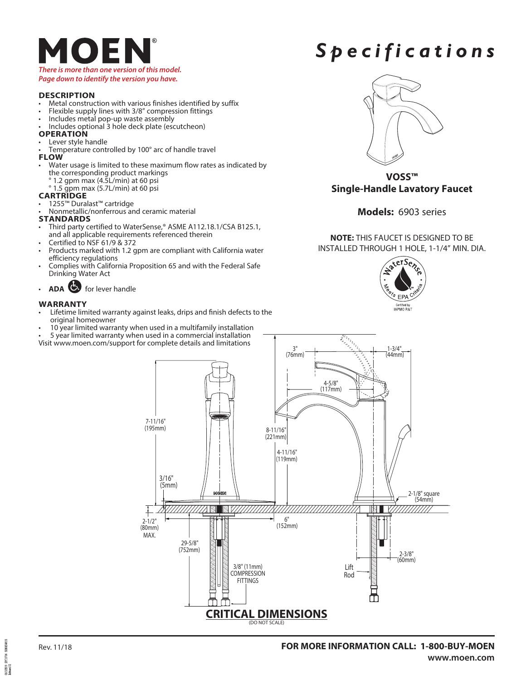## $\bigcirc$   $\bigcirc$ *There is more than one version of this model.*

### *Page down to identify the version you have.*

#### **DESCRIPTION**

- Metal construction with various finishes identified by suffix Flexible supply lines with 3/8" compression fittings Includes metal pop-up waste assembly Includes optional 3 hole deck plate (escutcheon)
- 
- 
- 

#### **OPERATION**

- 
- Lever style handle<br>Temperature controlled by 100° arc of handle travel
- **FLOW**
- Water usage is limited to these maximum flow rates as indicated by the corresponding product markings
	- ° 1.2 gpm max (4.5L/min) at 60 psi
	- ° 1.5 gpm max (5.7L/min) at 60 psi

#### **CARTRIDGE**

- 1255™ Duralast™ cartridge
- Nonmetallic/nonferrous and ceramic material

#### **STANDARDS**

- Third party certified to WaterSense,® ASME A112.18.1/CSA B125.1, and all applicable requirements referenced therein
- Certified to NSF 61/9 & 372
- Products marked with 1.2 gpm are compliant with California water efficiency regulations
- Complies with California Proposition 65 and with the Federal Safe Drinking Water Act
- **ADA** for lever handle

#### **WARRANTY**

- Lifetime limited warranty against leaks, drips and finish defects to the original homeowner
- 10 year limited warranty when used in a multifamily installation
- 5 year limited warranty when used in a commercial installation

Visit www.moen.com/support for complete details and limitations

## *Spec i f i c a tions*



**VOSS™ Single-Handle Lavatory Faucet**

#### **Models:** 6903 series

**NOTE:** THIS FAUCET IS DESIGNED TO BE INSTALLED THROUGH 1 HOLE, 1-1/4" MIN. DIA.





symmetrs aniana. 1913/2019<br>Referand 02